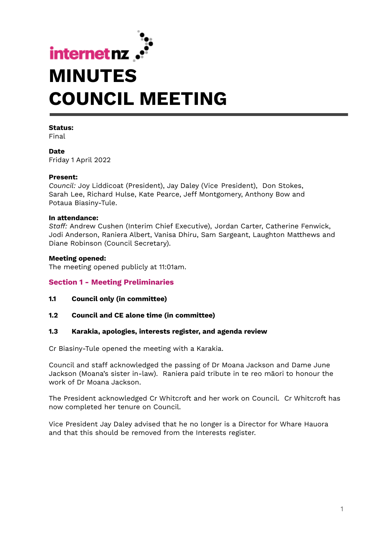

#### **Status:**

Final

**Date** Friday 1 April 2022

#### **Present:**

*Council:* Joy Liddicoat (President), Jay Daley (Vice President), Don Stokes, Sarah Lee, Richard Hulse, Kate Pearce, Jeff Montgomery, Anthony Bow and Potaua Biasiny-Tule.

#### **In attendance:**

*Staff:* Andrew Cushen (Interim Chief Executive), Jordan Carter, Catherine Fenwick, Jodi Anderson, Raniera Albert, Vanisa Dhiru, Sam Sargeant, Laughton Matthews and Diane Robinson (Council Secretary).

#### **Meeting opened:**

The meeting opened publicly at 11:01am.

## **Section 1 - Meeting Preliminaries**

- **1.1 Council only (in committee)**
- **1.2 Council and CE alone time (in committee)**

## **1.3 Karakia, apologies, interests register, and agenda review**

Cr Biasiny-Tule opened the meeting with a Karakia.

Council and staff acknowledged the passing of Dr Moana Jackson and Dame June Jackson (Moana's sister in-law). Raniera paid tribute in te reo māori to honour the work of Dr Moana Jackson.

The President acknowledged Cr Whitcroft and her work on Council. Cr Whitcroft has now completed her tenure on Council.

Vice President Jay Daley advised that he no longer is a Director for Whare Hauora and that this should be removed from the Interests register.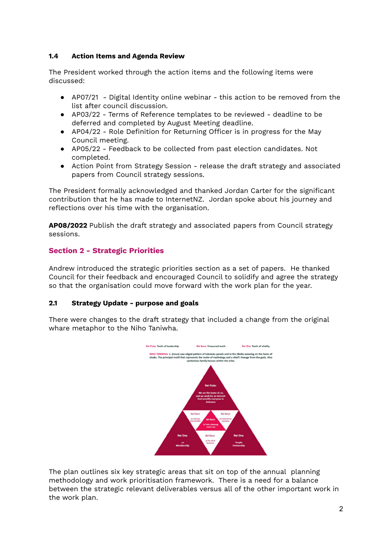# **1.4 Action Items and Agenda Review**

The President worked through the action items and the following items were discussed:

- AP07/21 Digital Identity online webinar this action to be removed from the list after council discussion.
- AP03/22 Terms of Reference templates to be reviewed deadline to be deferred and completed by August Meeting deadline.
- AP04/22 Role Definition for Returning Officer is in progress for the May Council meeting.
- AP05/22 Feedback to be collected from past election candidates. Not completed.
- Action Point from Strategy Session release the draft strategy and associated papers from Council strategy sessions.

The President formally acknowledged and thanked Jordan Carter for the significant contribution that he has made to InternetNZ. Jordan spoke about his journey and reflections over his time with the organisation.

**AP08/2022** Publish the draft strategy and associated papers from Council strategy sessions.

# **Section 2 - Strategic Priorities**

Andrew introduced the strategic priorities section as a set of papers. He thanked Council for their feedback and encouraged Council to solidify and agree the strategy so that the organisation could move forward with the work plan for the year.

## **2.1 Strategy Update - purpose and goals**

There were changes to the draft strategy that included a change from the original whare metaphor to the Niho Taniwha.



The plan outlines six key strategic areas that sit on top of the annual planning methodology and work prioritisation framework. There is a need for a balance between the strategic relevant deliverables versus all of the other important work in the work plan.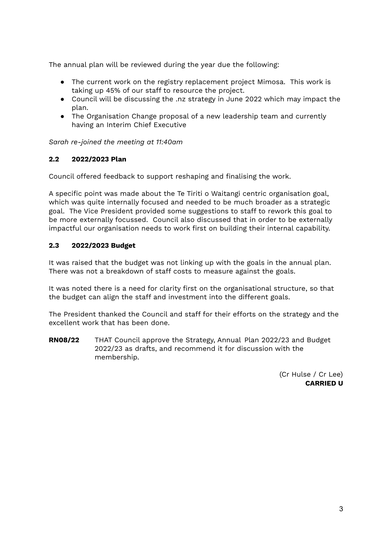The annual plan will be reviewed during the year due the following:

- The current work on the registry replacement project Mimosa. This work is taking up 45% of our staff to resource the project.
- Council will be discussing the .nz strategy in June 2022 which may impact the plan.
- The Organisation Change proposal of a new leadership team and currently having an Interim Chief Executive

*Sarah re-joined the meeting at 11:40am*

# **2.2 2022/2023 Plan**

Council offered feedback to support reshaping and finalising the work.

A specific point was made about the Te Tiriti o Waitangi centric organisation goal, which was quite internally focused and needed to be much broader as a strategic goal. The Vice President provided some suggestions to staff to rework this goal to be more externally focussed. Council also discussed that in order to be externally impactful our organisation needs to work first on building their internal capability.

# **2.3 2022/2023 Budget**

It was raised that the budget was not linking up with the goals in the annual plan. There was not a breakdown of staff costs to measure against the goals.

It was noted there is a need for clarity first on the organisational structure, so that the budget can align the staff and investment into the different goals.

The President thanked the Council and staff for their efforts on the strategy and the excellent work that has been done.

**RN08/22** THAT Council approve the Strategy, Annual Plan 2022/23 and Budget 2022/23 as drafts, and recommend it for discussion with the membership.

> (Cr Hulse / Cr Lee) **CARRIED U**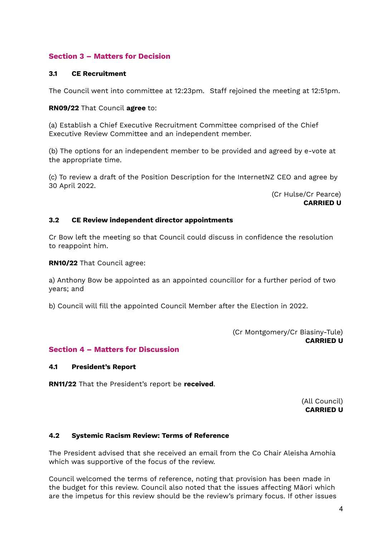# **Section 3 – Matters for Decision**

## **3.1 CE Recruitment**

The Council went into committee at 12:23pm. Staff rejoined the meeting at 12:51pm.

## **RN09/22** That Council **agree** to:

(a) Establish a Chief Executive Recruitment Committee comprised of the Chief Executive Review Committee and an independent member.

(b) The options for an independent member to be provided and agreed by e-vote at the appropriate time.

(c) To review a draft of the Position Description for the InternetNZ CEO and agree by 30 April 2022.

> (Cr Hulse/Cr Pearce) **CARRIED U**

## **3.2 CE Review independent director appointments**

Cr Bow left the meeting so that Council could discuss in confidence the resolution to reappoint him.

**RN10/22** That Council agree:

a) Anthony Bow be appointed as an appointed councillor for a further period of two years; and

b) Council will fill the appointed Council Member after the Election in 2022.

(Cr Montgomery/Cr Biasiny-Tule) **CARRIED U**

# **Section 4 – Matters for Discussion**

## **4.1 President's Report**

**RN11/22** That the President's report be **received**.

(All Council) **CARRIED U**

## **4.2 Systemic Racism Review: Terms of Reference**

The President advised that she received an email from the Co Chair Aleisha Amohia which was supportive of the focus of the review.

Council welcomed the terms of reference, noting that provision has been made in the budget for this review. Council also noted that the issues affecting Māori which are the impetus for this review should be the review's primary focus. If other issues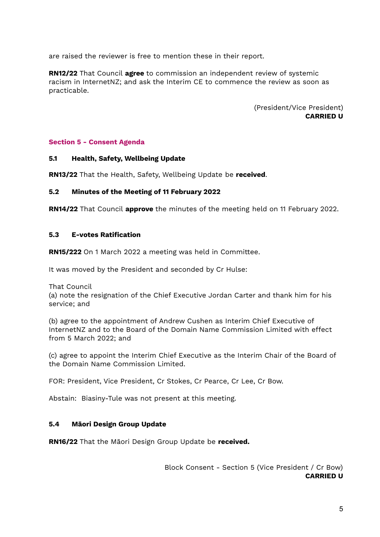are raised the reviewer is free to mention these in their report.

**RN12/22** That Council **agree** to commission an independent review of systemic racism in InternetNZ; and ask the Interim CE to commence the review as soon as practicable.

> (President/Vice President) **CARRIED U**

## **Section 5 - Consent Agenda**

#### **5.1 Health, Safety, Wellbeing Update**

**RN13/22** That the Health, Safety, Wellbeing Update be **received**.

## **5.2 Minutes of the Meeting of 11 February 2022**

**RN14/22** That Council **approve** the minutes of the meeting held on 11 February 2022.

#### **5.3 E-votes Ratification**

**RN15/222** On 1 March 2022 a meeting was held in Committee.

It was moved by the President and seconded by Cr Hulse:

That Council

(a) note the resignation of the Chief Executive Jordan Carter and thank him for his service; and

(b) agree to the appointment of Andrew Cushen as Interim Chief Executive of InternetNZ and to the Board of the Domain Name Commission Limited with effect from 5 March 2022; and

(c) agree to appoint the Interim Chief Executive as the Interim Chair of the Board of the Domain Name Commission Limited.

FOR: President, Vice President, Cr Stokes, Cr Pearce, Cr Lee, Cr Bow.

Abstain: Biasiny-Tule was not present at this meeting.

## **5.4 Māori Design Group Update**

**RN16/22** That the Māori Design Group Update be **received.**

Block Consent - Section 5 (Vice President / Cr Bow) **CARRIED U**